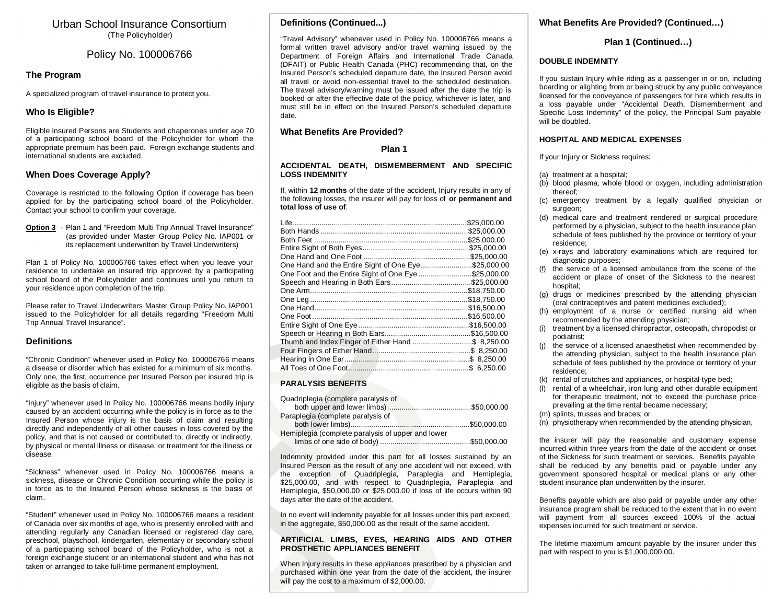# Urban School Insurance Consortium (The Policyholder)

# Policy No. 100006766

# **The Program**

A specialized program of travel insurance to protect you.

# **Who Is Eligible?**

Eligible Insured Persons are Students and chaperones under age 70 of a participating school board of the Policyholder for whom the appropriate premium has been paid. Foreign exchange students and international students are excluded.

# **When Does Coverage Apply?**

Coverage is restricted to the following Option if coverage has been applied for by the participating school board of the Policyholder. Contact your school to confirm your coverage.

**Option 3** - Plan 1 and "Freedom Multi Trip Annual Travel Insurance" (as provided under Master Group Policy No. IAP001 or its replacement underwritten by Travel Underwriters)

Plan 1 of Policy No. 100006766 takes effect when you leave your residence to undertake an insured trip approved by a participating school board of the Policyholder and continues until you return to your residence upon completion of the trip.

Please refer to Travel Underwriters Master Group Policy No. IAP001 issued to the Policyholder for all details regarding "Freedom Multi Trip Annual Travel Insurance".

## **Definitions**

"Chronic Condition" whenever used in Policy No. 100006766 means a disease or disorder which has existed for a minimum of six months. Only one, the first, occurrence per Insured Person per insured trip is eligible as the basis of claim.

"Injury" whenever used in Policy No. 100006766 means bodily injury caused by an accident occurring while the policy is in force as to the Insured Person whose injury is the basis of claim and resulting directly and independently of all other causes in loss covered by the policy, and that is not caused or contributed to, directly or indirectly, by physical or mental illness or disease, or treatment for the illness or disease.

"Sickness" whenever used in Policy No. 100006766 means a sickness, disease or Chronic Condition occurring while the policy is in force as to the Insured Person whose sickness is the basis of claim.

"Student" whenever used in Policy No. 100006766 means a resident of Canada over six months of age, who is presently enrolled with and attending regularly any Canadian licensed or registered day care, preschool, playschool, kindergarten, elementary or secondary school of a participating school board of the Policyholder, who is not a foreign exchange student or an international student and who has not taken or arranged to take full-time permanent employment.

# **Definitions (Continued...)**

"Travel Advisory" whenever used in Policy No. 100006766 means a formal written travel advisory and/or travel warning issued by the Department of Foreign Affairs and International Trade Canada (DFAIT) or Public Health Canada (PHC) recommending that, on the Insured Person's scheduled departure date, the Insured Person avoid all travel or avoid non-essential travel to the scheduled destination. The travel advisory/warning must be issued after the date the trip is booked or after the effective date of the policy, whichever is later, and must still be in effect on the Insured Person's scheduled departure date.

# **What Benefits Are Provided?**

**Plan 1** 

#### **ACCIDENTAL DEATH, DISMEMBERMENT AND SPECIFIC LOSS INDEMNITY**

If, within **12 months** of the date of the accident, Injury results in any of the following losses, the insurer will pay for loss of **or permanent and total loss of use of**:

|                                                      | \$25.000.00 |
|------------------------------------------------------|-------------|
|                                                      | \$25.000.00 |
|                                                      | \$25.000.00 |
|                                                      | \$25.000.00 |
|                                                      | \$25,000.00 |
| One Hand and the Entire Sight of One Eye\$25,000.00  |             |
| One Foot and the Entire Sight of One Eye \$25,000.00 |             |
|                                                      |             |
|                                                      |             |
|                                                      |             |
|                                                      |             |
|                                                      |             |
|                                                      |             |
|                                                      |             |
| Thumb and Index Finger of Either Hand \$ 8,250.00    |             |
|                                                      |             |
|                                                      |             |
|                                                      |             |

## **PARALYSIS BENEFITS**

| Quadriplegia (complete paralysis of               |  |
|---------------------------------------------------|--|
|                                                   |  |
| Paraplegia (complete paralysis of                 |  |
|                                                   |  |
| Hemiplegia (complete paralysis of upper and lower |  |
|                                                   |  |

Indemnity provided under this part for all losses sustained by an Insured Person as the result of any one accident will not exceed, with the exception of Quadriplegia, Paraplegia and Hemiplegia, \$25,000.00, and with respect to Quadriplegia, Paraplegia and Hemiplegia, \$50,000.00 or \$25,000.00 if loss of life occurs within 90 days after the date of the accident.

In no event will indemnity payable for all losses under this part exceed, in the aggregate, \$50,000.00 as the result of the same accident.

#### **ARTIFICIAL LIMBS, EYES, HEARING AIDS AND OTHER PROSTHETIC APPLIANCES BENEFIT**

When Injury results in these appliances prescribed by a physician and purchased within one year from the date of the accident, the insurer will pay the cost to a maximum of \$2,000.00.

# **What Benefits Are Provided? (Continued…)**

# **Plan 1 (Continued…)**

#### **DOUBLE INDEMNITY**

If you sustain Injury while riding as a passenger in or on, including boarding or alighting from or being struck by any public conveyance licensed for the conveyance of passengers for hire which results in a loss payable under "Accidental Death, Dismemberment and Specific Loss Indemnity" of the policy, the Principal Sum payable will be doubled.

## **HOSPITAL AND MEDICAL EXPENSES**

If your Injury or Sickness requires:

- (a) treatment at a hospital;
- (b) blood plasma, whole blood or oxygen, including administration thereof;
- (c) emergency treatment by a legally qualified physician or surgeon;
- (d) medical care and treatment rendered or surgical procedure performed by a physician, subject to the health insurance plan schedule of fees published by the province or territory of your residence;
- (e) x-rays and laboratory examinations which are required for diagnostic purposes;
- (f) the service of a licensed ambulance from the scene of the accident or place of onset of the Sickness to the nearest hospital;
- (g) drugs or medicines prescribed by the attending physician (oral contraceptives and patent medicines excluded);
- (h) employment of a nurse or certified nursing aid when recommended by the attending physician;
- (i) treatment by a licensed chiropractor, osteopath, chiropodist or podiatrist;
- (j) the service of a licensed anaesthetist when recommended by the attending physician, subject to the health insurance plan schedule of fees published by the province or territory of your residence;
- (k) rental of crutches and appliances, or hospital-type bed;
- (l) rental of a wheelchair, iron lung and other durable equipment for therapeutic treatment, not to exceed the purchase price prevailing at the time rental became necessary;
- (m) splints, trusses and braces; or
- (n) physiotherapy when recommended by the attending physician,

the insurer will pay the reasonable and customary expense incurred within three years from the date of the accident or onset of the Sickness for such treatment or services. Benefits payable shall be reduced by any benefits paid or payable under any government sponsored hospital or medical plans or any other student insurance plan underwritten by the insurer.

Benefits payable which are also paid or payable under any other insurance program shall be reduced to the extent that in no event will payment from all sources exceed 100% of the actual expenses incurred for such treatment or service.

The lifetime maximum amount payable by the insurer under this part with respect to you is \$1,000,000.00.